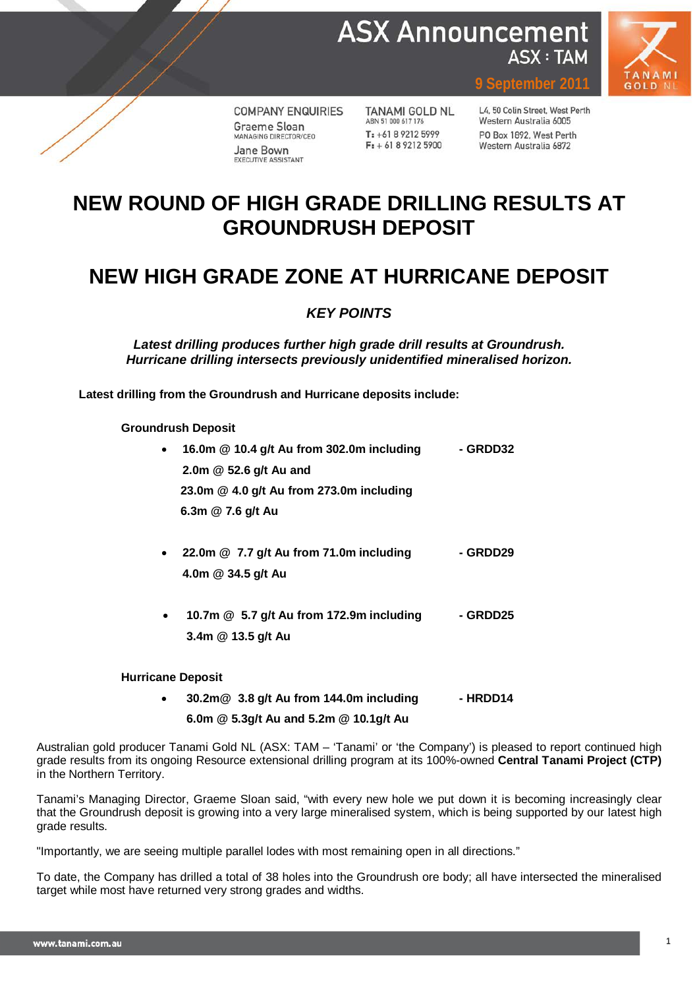



**COMPANY ENQUIRIES** Graeme Sloan MANAGING DIRECTOR/CEO Jane Bown EXECUTIVE ASSISTANT

TANAMI GOLD NL ABN 51 000 617 176  $T: +61892125999$  $F: +61892125900$ 

L4, 50 Colin Street, West Perth Western Australia 6005 PO Box 1892, West Perth Western Australia 6872

**9 September 2011**

# **NEW ROUND OF HIGH GRADE DRILLING RESULTS AT GROUNDRUSH DEPOSIT**

# **NEW HIGH GRADE ZONE AT HURRICANE DEPOSIT**

### *KEY POINTS*

*Latest drilling produces further high grade drill results at Groundrush. Hurricane drilling intersects previously unidentified mineralised horizon.*

**Latest drilling from the Groundrush and Hurricane deposits include:**

**Groundrush Deposit**

| 16.0m @ 10.4 g/t Au from 302.0m including | - GRDD32 |
|-------------------------------------------|----------|
| 2.0m @ 52.6 g/t Au and                    |          |
| 23.0m @ 4.0 g/t Au from 273.0m including  |          |
| 6.3m @ 7.6 g/t Au                         |          |
|                                           |          |
| 22.0m @ 7.7 g/t Au from 71.0m including   | - GRDD29 |
| 4.0m @ 34.5 g/t Au                        |          |

• **10.7m @ 5.7 g/t Au from 172.9m including - GRDD25 3.4m @ 13.5 g/t Au**

### **Hurricane Deposit**

• **30.2m@ 3.8 g/t Au from 144.0m including - HRDD14 6.0m @ 5.3g/t Au and 5.2m @ 10.1g/t Au**

Australian gold producer Tanami Gold NL (ASX: TAM – 'Tanami' or 'the Company') is pleased to report continued high grade results from its ongoing Resource extensional drilling program at its 100%-owned **Central Tanami Project (CTP)** in the Northern Territory.

Tanami's Managing Director, Graeme Sloan said, "with every new hole we put down it is becoming increasingly clear that the Groundrush deposit is growing into a very large mineralised system, which is being supported by our latest high grade results.

"Importantly, we are seeing multiple parallel lodes with most remaining open in all directions."

To date, the Company has drilled a total of 38 holes into the Groundrush ore body; all have intersected the mineralised target while most have returned very strong grades and widths.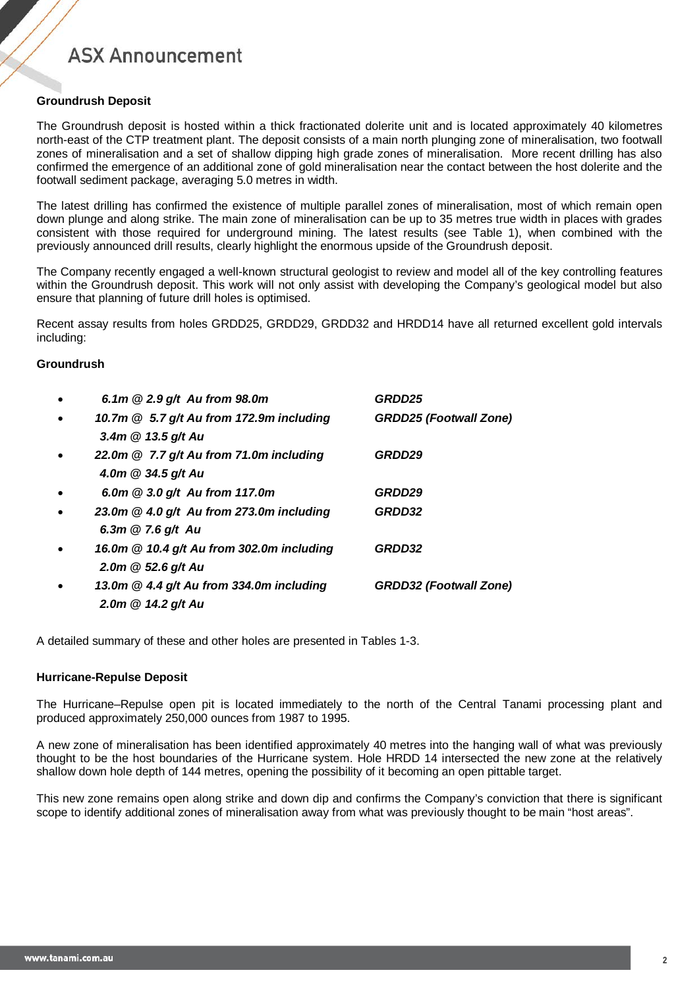### **Groundrush Deposit**

The Groundrush deposit is hosted within a thick fractionated dolerite unit and is located approximately 40 kilometres north-east of the CTP treatment plant. The deposit consists of a main north plunging zone of mineralisation, two footwall zones of mineralisation and a set of shallow dipping high grade zones of mineralisation. More recent drilling has also confirmed the emergence of an additional zone of gold mineralisation near the contact between the host dolerite and the footwall sediment package, averaging 5.0 metres in width.

The latest drilling has confirmed the existence of multiple parallel zones of mineralisation, most of which remain open down plunge and along strike. The main zone of mineralisation can be up to 35 metres true width in places with grades consistent with those required for underground mining. The latest results (see Table 1), when combined with the previously announced drill results, clearly highlight the enormous upside of the Groundrush deposit.

The Company recently engaged a well-known structural geologist to review and model all of the key controlling features within the Groundrush deposit. This work will not only assist with developing the Company's geological model but also ensure that planning of future drill holes is optimised.

Recent assay results from holes GRDD25, GRDD29, GRDD32 and HRDD14 have all returned excellent gold intervals including:

#### **Groundrush**

| $\bullet$ | 6.1m $@2.9 g/t$ Au from 98.0m              | GRDD25                        |
|-----------|--------------------------------------------|-------------------------------|
| $\bullet$ | 10.7m @ 5.7 g/t Au from 172.9m including   | <b>GRDD25 (Footwall Zone)</b> |
|           | 3.4m @ 13.5 g/t Au                         |                               |
| $\bullet$ | 22.0m @ 7.7 g/t Au from 71.0m including    | GRDD29                        |
|           | 4.0m $@34.5 g/t$ Au                        |                               |
| $\bullet$ | 6.0m @ 3.0 g/t Au from 117.0m              | GRDD29                        |
| $\bullet$ | 23.0m $@$ 4.0 g/t Au from 273.0m including | GRDD32                        |
|           | 6.3m @ 7.6 g/t Au                          |                               |
| $\bullet$ | 16.0m @ 10.4 g/t Au from 302.0m including  | GRDD32                        |
|           | 2.0m $@$ 52.6 g/t Au                       |                               |
|           | 13.0m $@$ 4.4 g/t Au from 334.0m including | <b>GRDD32 (Footwall Zone)</b> |
|           | 2.0m @ 14.2 g/t Au                         |                               |

A detailed summary of these and other holes are presented in Tables 1-3.

#### **Hurricane-Repulse Deposit**

The Hurricane–Repulse open pit is located immediately to the north of the Central Tanami processing plant and produced approximately 250,000 ounces from 1987 to 1995.

A new zone of mineralisation has been identified approximately 40 metres into the hanging wall of what was previously thought to be the host boundaries of the Hurricane system. Hole HRDD 14 intersected the new zone at the relatively shallow down hole depth of 144 metres, opening the possibility of it becoming an open pittable target.

This new zone remains open along strike and down dip and confirms the Company's conviction that there is significant scope to identify additional zones of mineralisation away from what was previously thought to be main "host areas".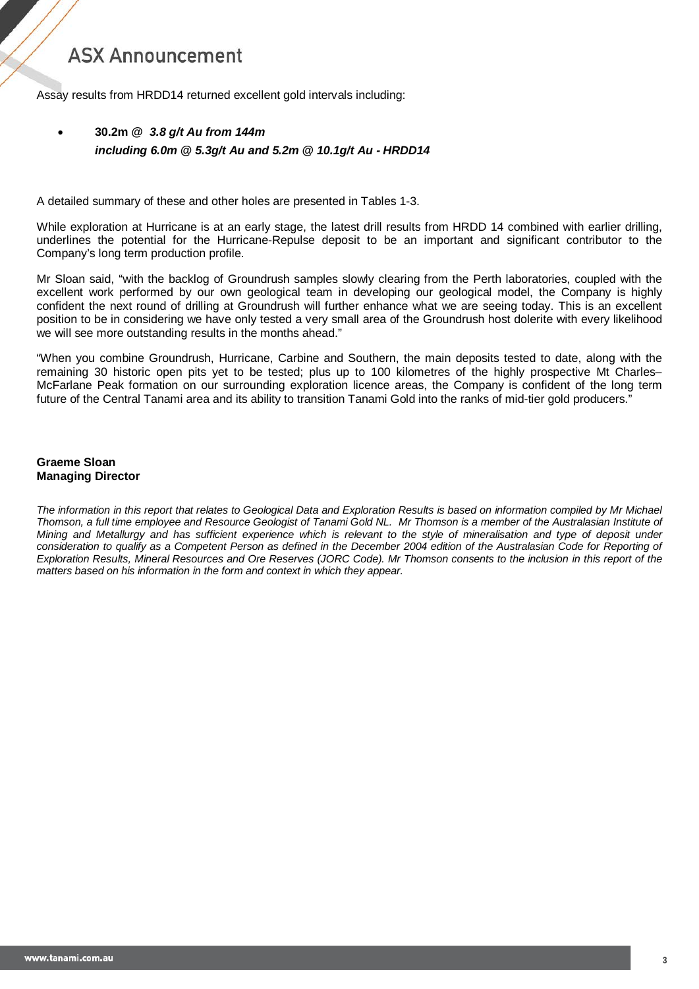Assay results from HRDD14 returned excellent gold intervals including:

### • **30.2m** *@ 3.8 g/t Au from 144m including 6.0m @ 5.3g/t Au and 5.2m @ 10.1g/t Au - HRDD14*

A detailed summary of these and other holes are presented in Tables 1-3.

While exploration at Hurricane is at an early stage, the latest drill results from HRDD 14 combined with earlier drilling, underlines the potential for the Hurricane-Repulse deposit to be an important and significant contributor to the Company's long term production profile.

Mr Sloan said, "with the backlog of Groundrush samples slowly clearing from the Perth laboratories, coupled with the excellent work performed by our own geological team in developing our geological model, the Company is highly confident the next round of drilling at Groundrush will further enhance what we are seeing today. This is an excellent position to be in considering we have only tested a very small area of the Groundrush host dolerite with every likelihood we will see more outstanding results in the months ahead."

"When you combine Groundrush, Hurricane, Carbine and Southern, the main deposits tested to date, along with the remaining 30 historic open pits yet to be tested; plus up to 100 kilometres of the highly prospective Mt Charles– McFarlane Peak formation on our surrounding exploration licence areas, the Company is confident of the long term future of the Central Tanami area and its ability to transition Tanami Gold into the ranks of mid-tier gold producers."

#### **Graeme Sloan Managing Director**

*The information in this report that relates to Geological Data and Exploration Results is based on information compiled by Mr Michael Thomson, a full time employee and Resource Geologist of Tanami Gold NL. Mr Thomson is a member of the Australasian Institute of Mining and Metallurgy and has sufficient experience which is relevant to the style of mineralisation and type of deposit under consideration to qualify as a Competent Person as defined in the December 2004 edition of the Australasian Code for Reporting of Exploration Results, Mineral Resources and Ore Reserves (JORC Code). Mr Thomson consents to the inclusion in this report of the matters based on his information in the form and context in which they appear.*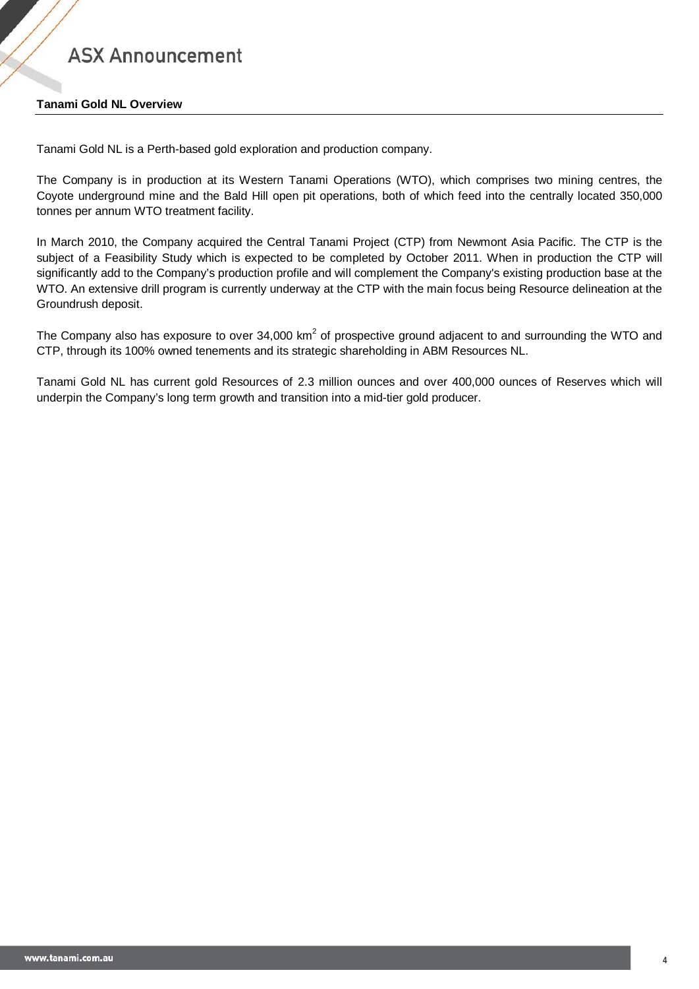### **Tanami Gold NL Overview**

Tanami Gold NL is a Perth-based gold exploration and production company.

The Company is in production at its Western Tanami Operations (WTO), which comprises two mining centres, the Coyote underground mine and the Bald Hill open pit operations, both of which feed into the centrally located 350,000 tonnes per annum WTO treatment facility.

In March 2010, the Company acquired the Central Tanami Project (CTP) from Newmont Asia Pacific. The CTP is the subject of a Feasibility Study which is expected to be completed by October 2011. When in production the CTP will significantly add to the Company's production profile and will complement the Company's existing production base at the WTO. An extensive drill program is currently underway at the CTP with the main focus being Resource delineation at the Groundrush deposit.

The Company also has exposure to over 34,000 km<sup>2</sup> of prospective ground adjacent to and surrounding the WTO and CTP, through its 100% owned tenements and its strategic shareholding in ABM Resources NL.

Tanami Gold NL has current gold Resources of 2.3 million ounces and over 400,000 ounces of Reserves which will underpin the Company's long term growth and transition into a mid-tier gold producer.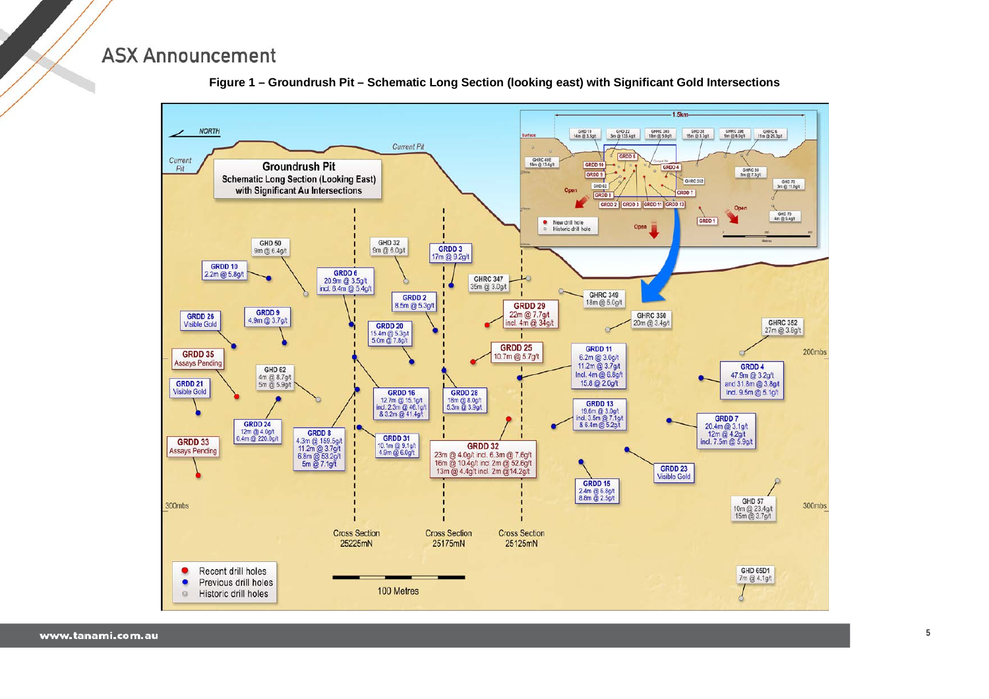

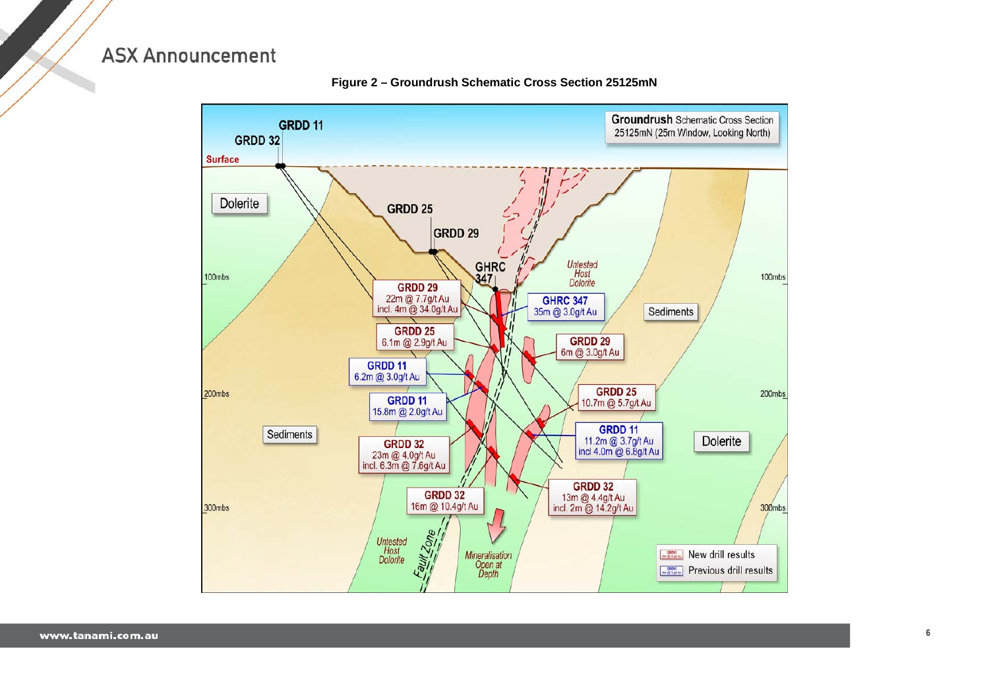

**Figure 2 – Groundrush Schematic Cross Section 25125mN**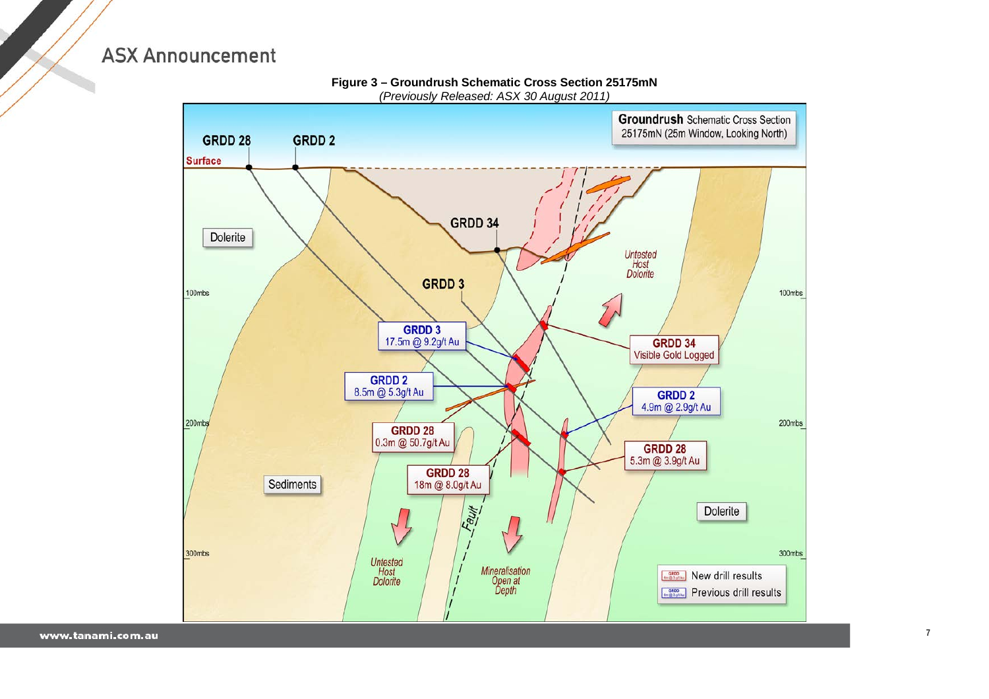

**Figure 3 – Groundrush Schematic Cross Section 25175mN** *(Previously Released: ASX 30 August 2011)*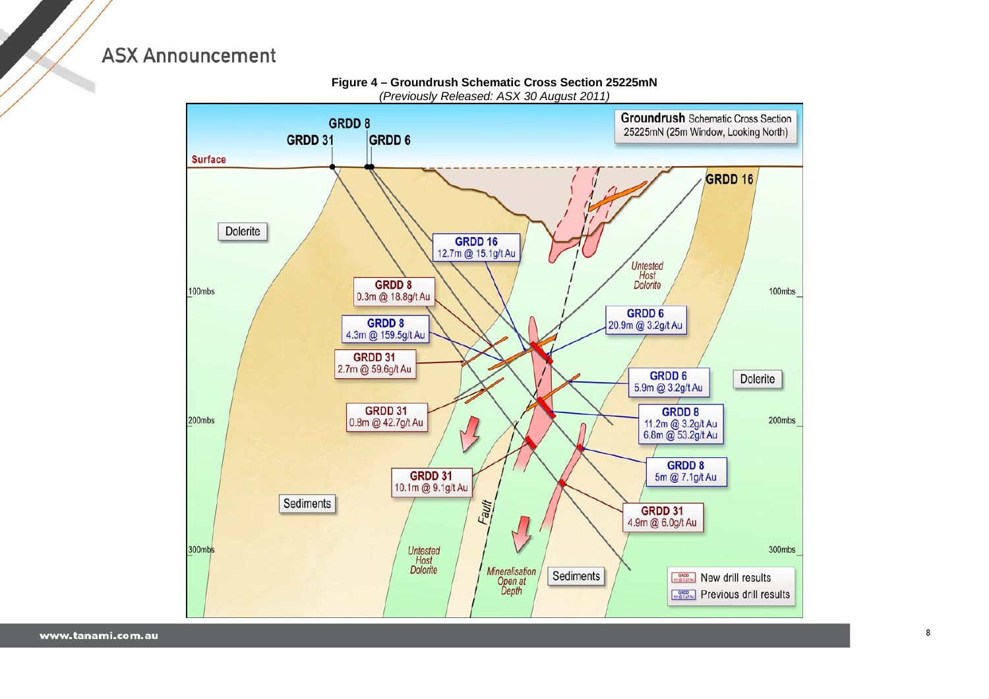

**Figure 4 – Groundrush Schematic Cross Section 25225mN** *(Previously Released: ASX 30 August 2011)*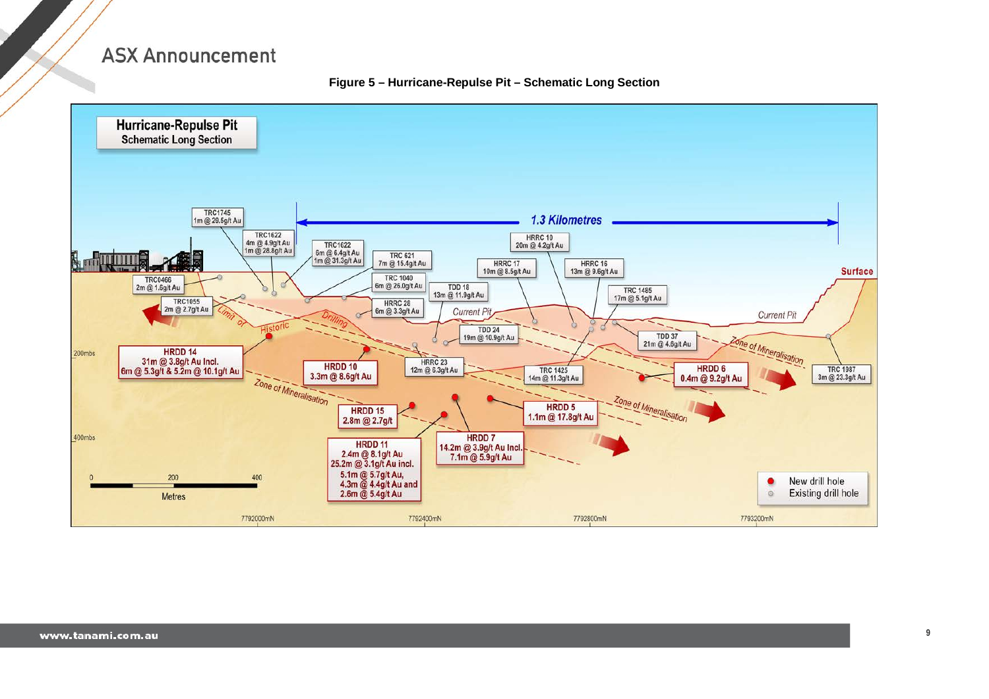**Figure 5 – Hurricane-Repulse Pit – Schematic Long Section**

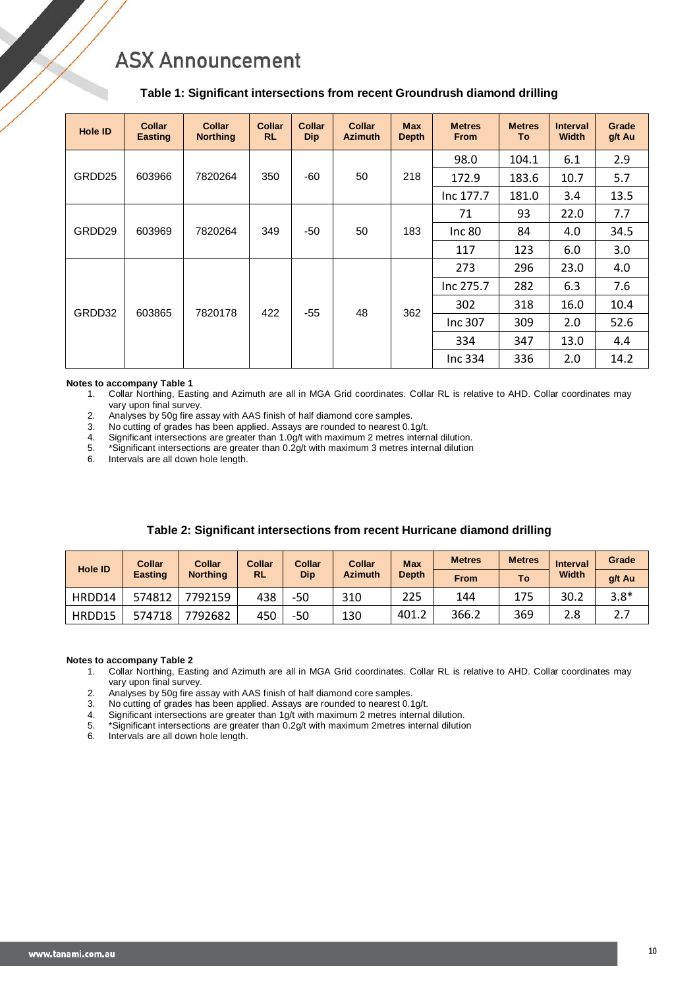#### **Table 1: Significant intersections from recent Groundrush diamond drilling**

| <b>Hole ID</b> | <b>Collar</b><br><b>Easting</b> | <b>Collar</b><br><b>Northing</b> | <b>Collar</b><br><b>RL</b> | <b>Collar</b><br><b>Dip</b> | <b>Collar</b><br><b>Azimuth</b> | <b>Max</b><br><b>Depth</b> | <b>Metres</b><br><b>From</b> | <b>Metres</b><br>To | <b>Interval</b><br><b>Width</b> | Grade<br>g/t Au |
|----------------|---------------------------------|----------------------------------|----------------------------|-----------------------------|---------------------------------|----------------------------|------------------------------|---------------------|---------------------------------|-----------------|
|                | 603966                          |                                  |                            |                             | 50                              |                            | 98.0                         | 104.1               | 6.1                             | 2.9             |
| GRDD25         |                                 | 7820264                          | 350                        | -60                         |                                 | 218                        | 172.9                        | 183.6               | 10.7                            | 5.7             |
|                |                                 |                                  |                            |                             |                                 |                            | Inc 177.7                    | 181.0               | 3.4                             | 13.5            |
| GRDD29         | 603969                          | 7820264                          | 349                        | -50                         | 50                              | 183                        | 71                           | 93                  | 22.0                            | 7.7             |
|                |                                 |                                  |                            |                             |                                 |                            | Inc 80                       | 84                  | 4.0                             | 34.5            |
|                |                                 |                                  |                            |                             |                                 |                            | 117                          | 123                 | 6.0                             | 3.0             |
|                |                                 |                                  | 422                        | $-55$                       | 48                              |                            | 273                          | 296                 | 23.0                            | 4.0             |
|                |                                 |                                  |                            |                             |                                 |                            | Inc 275.7                    | 282                 | 6.3                             | 7.6             |
| GRDD32         | 603865                          | 7820178                          |                            |                             |                                 | 362                        | 302                          | 318                 | 16.0                            | 10.4            |
|                |                                 |                                  |                            |                             |                                 |                            | Inc 307                      | 309                 | 2.0                             | 52.6            |
|                |                                 |                                  |                            |                             |                                 |                            | 334                          | 347                 | 13.0                            | 4.4             |
|                |                                 |                                  |                            |                             |                                 |                            | Inc 334                      | 336                 | 2.0                             | 14.2            |

#### **Notes to accompany Table 1**

- 1. Collar Northing, Easting and Azimuth are all in MGA Grid coordinates. Collar RL is relative to AHD. Collar coordinates may vary upon final survey.
- 2. Analyses by 50g fire assay with AAS finish of half diamond core samples.
- 3. No cutting of grades has been applied. Assays are rounded to nearest 0.1g/t.
- 4. Significant intersections are greater than  $1.0$ g/t with maximum 2 metres internal dilution.<br>5. \*Significant intersections are greater than  $0.2$ g/t with maximum 3 metres internal dilution
- 5. \*Significant intersections are greater than  $0.2$ g/t with maximum 3 metres internal dilution 6. Intervals are all down hole length.
- Intervals are all down hole length.

| <b>Hole ID</b> | Collar         | Collar<br><b>Northing</b> | Collar<br><b>RL</b> | <b>Collar</b><br>Dip | Collar<br><b>Azimuth</b> | <b>Max</b>   | <b>Metres</b> | <b>Metres</b> | Interval | Grade  |
|----------------|----------------|---------------------------|---------------------|----------------------|--------------------------|--------------|---------------|---------------|----------|--------|
|                | <b>Easting</b> |                           |                     |                      |                          | <b>Depth</b> | <b>From</b>   | To            | Width    | g/t Au |
| HRDD14         | 574812         | 7792159                   | 438                 | -50                  | 310                      | 225          | 144           | 175           | 30.2     | $3.8*$ |
| HRDD15         | 574718         | 7792682                   | 450                 | -50                  | 130                      | 401.2        | 366.2         | 369           | 2.8      | ـ ـ    |

### **Table 2: Significant intersections from recent Hurricane diamond drilling**

#### **Notes to accompany Table 2**

- 1. Collar Northing, Easting and Azimuth are all in MGA Grid coordinates. Collar RL is relative to AHD. Collar coordinates may vary upon final survey.
- 2. Analyses by 50g fire assay with AAS finish of half diamond core samples.<br>3. No cutting of grades has been applied. Assays are rounded to pearest 0.1
- 3. No cutting of grades has been applied. Assays are rounded to nearest 0.1g/t.<br>4. Significant intersections are greater than 1g/t with maximum 2 metres internal
- 4. Significant intersections are greater than  $1g/t$  with maximum 2 metres internal dilution.<br>5. \*Significant intersections are greater than 0.2g/t with maximum 2 metres internal dilution
- 5. \*Significant intersections are greater than 0.2g/t with maximum 2metres internal dilution
- Intervals are all down hole length.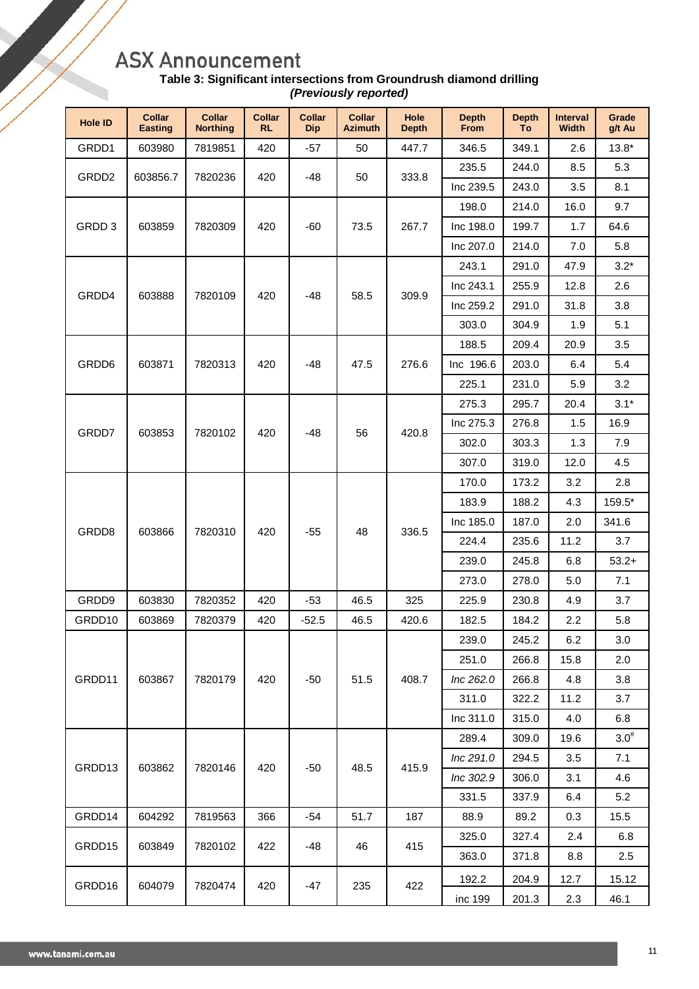| Table 3: Significant intersections from Groundrush diamond drilling |
|---------------------------------------------------------------------|
| (Previously reported)                                               |

| <b>Hole ID</b>    | <b>Collar</b><br><b>Easting</b> | <b>Collar</b><br><b>Northing</b> | <b>Collar</b><br><b>RL</b> | <b>Collar</b><br><b>Dip</b> | <b>Collar</b><br><b>Azimuth</b> | Hole<br><b>Depth</b> | <b>Depth</b><br>From | <b>Depth</b><br>To | <b>Interval</b><br><b>Width</b> | Grade<br>g/t Au |
|-------------------|---------------------------------|----------------------------------|----------------------------|-----------------------------|---------------------------------|----------------------|----------------------|--------------------|---------------------------------|-----------------|
| GRDD1             | 603980                          | 7819851                          | 420                        | $-57$                       | 50                              | 447.7                | 346.5                | 349.1              | 2.6                             | $13.8*$         |
|                   |                                 |                                  |                            |                             |                                 |                      | 235.5                | 244.0              | 8.5                             | 5.3             |
| GRDD <sub>2</sub> | 603856.7                        | 7820236                          | 420                        | -48                         | 50                              | 333.8                | Inc 239.5            | 243.0              | 3.5                             | 8.1             |
|                   |                                 |                                  |                            |                             |                                 |                      | 198.0                | 214.0              | 16.0                            | 9.7             |
| GRDD 3            | 603859                          | 7820309                          | 420                        | $-60$                       | 73.5                            | 267.7                | Inc 198.0            | 199.7              | 1.7                             | 64.6            |
|                   |                                 |                                  |                            |                             |                                 |                      | Inc 207.0            | 214.0              | 7.0                             | 5.8             |
|                   |                                 |                                  |                            |                             |                                 |                      | 243.1                | 291.0              | 47.9                            | $3.2*$          |
| GRDD4             | 603888                          | 7820109                          | 420                        | $-48$                       | 58.5                            | 309.9                | Inc 243.1            | 255.9              | 12.8                            | 2.6             |
|                   |                                 |                                  |                            |                             |                                 |                      | Inc 259.2            | 291.0              | 31.8                            | 3.8             |
|                   |                                 |                                  |                            |                             |                                 |                      | 303.0                | 304.9              | 1.9                             | 5.1             |
|                   |                                 |                                  |                            |                             |                                 |                      | 188.5                | 209.4              | 20.9                            | 3.5             |
| GRDD6             | 603871                          | 7820313                          | 420                        | $-48$                       | 47.5                            | 276.6                | Inc 196.6            | 203.0              | 6.4                             | 5.4             |
|                   |                                 |                                  |                            |                             |                                 |                      | 225.1                | 231.0              | 5.9                             | 3.2             |
|                   | 603853                          | 7820102                          |                            |                             |                                 |                      | 275.3                | 295.7              | 20.4                            | $3.1*$          |
| GRDD7             |                                 |                                  | 420                        | $-48$                       | 56                              | 420.8                | Inc 275.3            | 276.8              | 1.5                             | 16.9            |
|                   |                                 |                                  |                            |                             |                                 |                      | 302.0                | 303.3              | 1.3                             | $7.9$           |
|                   |                                 |                                  |                            |                             |                                 |                      | 307.0                | 319.0              | 12.0                            | 4.5             |
|                   |                                 |                                  |                            |                             | 48                              |                      | 170.0                | 173.2              | 3.2                             | 2.8             |
|                   |                                 |                                  |                            |                             |                                 |                      | 183.9                | 188.2              | 4.3                             | 159.5*          |
| GRDD8             | 603866                          | 7820310                          | 420                        | $-55$                       |                                 | 336.5                | Inc 185.0            | 187.0              | 2.0                             | 341.6           |
|                   |                                 |                                  |                            |                             |                                 |                      | 224.4                | 235.6              | 11.2                            | 3.7             |
|                   |                                 |                                  |                            |                             |                                 |                      | 239.0                | 245.8              | 6.8                             | $53.2+$         |
|                   |                                 |                                  |                            |                             |                                 |                      | 273.0                | 278.0              | 5.0                             | 7.1             |
| GRDD9             | 603830                          | 7820352                          | 420                        | $-53$                       | 46.5                            | 325                  | 225.9                | 230.8              | 4.9                             | 3.7             |
| GRDD10            | 603869                          | 7820379                          | 420                        | $-52.5$                     | 46.5                            | 420.6                | 182.5                | 184.2              | 2.2                             | 5.8             |
|                   |                                 |                                  |                            |                             |                                 |                      | 239.0                | 245.2              | 6.2                             | 3.0             |
|                   |                                 |                                  |                            |                             |                                 |                      | 251.0                | 266.8              | 15.8                            | 2.0             |
| GRDD11            | 603867                          | 7820179                          | 420                        | $-50$                       | 51.5                            | 408.7                | Inc 262.0            | 266.8              | 4.8                             | 3.8             |
|                   |                                 |                                  |                            |                             |                                 |                      | 311.0                | 322.2              | 11.2                            | 3.7             |
|                   |                                 |                                  |                            |                             |                                 |                      | Inc 311.0            | 315.0              | 4.0                             | 6.8             |
|                   |                                 |                                  |                            |                             |                                 |                      | 289.4                | 309.0              | 19.6                            | $3.0^{#}$       |
|                   |                                 |                                  |                            |                             |                                 |                      | Inc 291.0            | 294.5              | 3.5                             | 7.1             |
| GRDD13            | 603862                          | 7820146                          | 420                        | $-50$                       | 48.5                            | 415.9                | Inc 302.9            | 306.0              | 3.1                             | 4.6             |
|                   |                                 |                                  |                            |                             |                                 |                      | 331.5                | 337.9              | 6.4                             | 5.2             |
| GRDD14            | 604292                          | 7819563                          | 366                        | $-54$                       | 51.7                            | 187                  | 88.9                 | 89.2               | 0.3                             | 15.5            |
|                   |                                 |                                  |                            |                             |                                 |                      | 325.0                | 327.4              | 2.4                             | 6.8             |
| GRDD15            | 603849                          | 7820102                          | 422                        | -48                         | 46                              | 415                  | 363.0                | 371.8              | 8.8                             | 2.5             |
|                   |                                 |                                  |                            |                             |                                 |                      | 192.2                | 204.9              | 12.7                            | 15.12           |
| GRDD16            | 604079                          | 7820474                          | 420                        | -47                         | 235                             | 422                  | inc 199              | 201.3              | 2.3                             | 46.1            |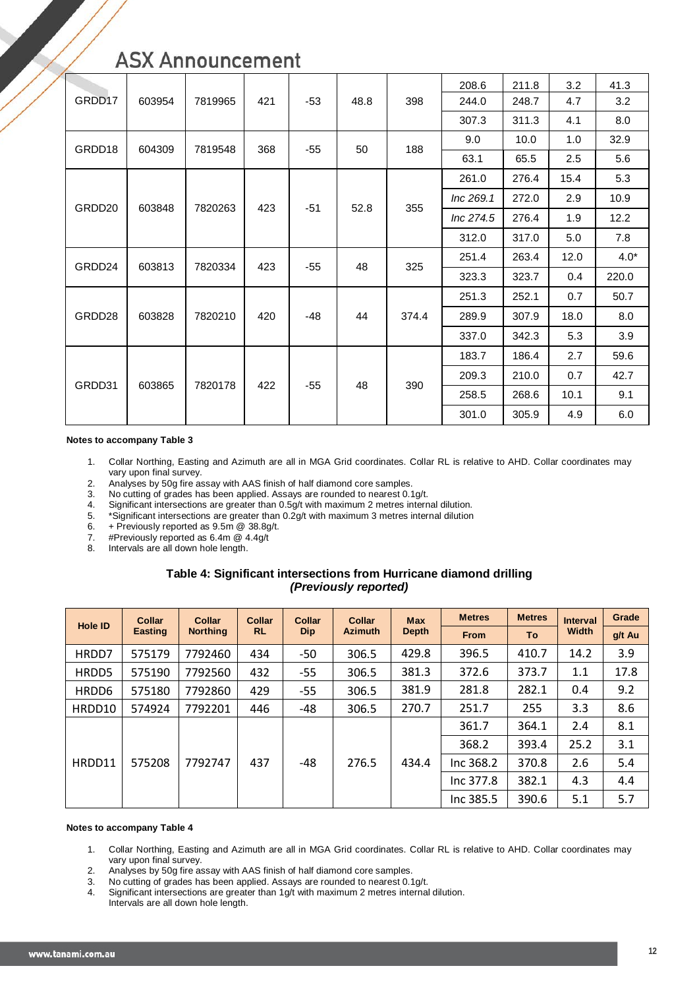|        | 603954 | 7819965 |     | $-53$ | 48.8 |       | 208.6     | 211.8 | 3.2  | 41.3   |
|--------|--------|---------|-----|-------|------|-------|-----------|-------|------|--------|
| GRDD17 |        |         | 421 |       |      | 398   | 244.0     | 248.7 | 4.7  | 3.2    |
|        |        |         |     |       |      |       | 307.3     | 311.3 | 4.1  | 8.0    |
| GRDD18 | 604309 | 7819548 | 368 | $-55$ | 50   | 188   | 9.0       | 10.0  | 1.0  | 32.9   |
|        |        |         |     |       |      |       | 63.1      | 65.5  | 2.5  | 5.6    |
|        | 603848 |         |     |       |      |       | 261.0     | 276.4 | 15.4 | 5.3    |
| GRDD20 |        |         |     |       |      | 355   | Inc 269.1 | 272.0 | 2.9  | 10.9   |
|        |        | 7820263 | 423 | $-51$ | 52.8 |       | Inc 274.5 | 276.4 | 1.9  | 12.2   |
|        |        |         |     |       |      |       | 312.0     | 317.0 | 5.0  | 7.8    |
| GRDD24 | 603813 | 7820334 | 423 | $-55$ | 48   | 325   | 251.4     | 263.4 | 12.0 | $4.0*$ |
|        |        |         |     |       |      |       | 323.3     | 323.7 | 0.4  | 220.0  |
|        |        |         | 420 | -48   | 44   | 374.4 | 251.3     | 252.1 | 0.7  | 50.7   |
| GRDD28 | 603828 | 7820210 |     |       |      |       | 289.9     | 307.9 | 18.0 | 8.0    |
|        |        |         |     |       |      |       | 337.0     | 342.3 | 5.3  | 3.9    |
|        |        |         |     |       |      |       | 183.7     | 186.4 | 2.7  | 59.6   |
|        |        |         | 422 | $-55$ | 48   | 390   | 209.3     | 210.0 | 0.7  | 42.7   |
| GRDD31 | 603865 | 7820178 |     |       |      |       | 258.5     | 268.6 | 10.1 | 9.1    |
|        |        |         |     |       |      |       | 301.0     | 305.9 | 4.9  | 6.0    |

#### **Notes to accompany Table 3**

- 1. Collar Northing, Easting and Azimuth are all in MGA Grid coordinates. Collar RL is relative to AHD. Collar coordinates may vary upon final survey.
- 2. Analyses by 50g fire assay with AAS finish of half diamond core samples.<br>3. No cutting of grades has been applied. Assays are rounded to nearest 0.1
- 3. No cutting of grades has been applied. Assays are rounded to nearest 0.1g/t.<br>4. Significant intersections are greater than 0.5g/t with maximum 2 metres intern
- Significant intersections are greater than 0.5g/t with maximum 2 metres internal dilution.
- 5. \*Significant intersections are greater than 0.2g/t with maximum 3 metres internal dilution 6. + Previously reported as  $9.5m \text{ } \textcircled{ } 38.8g/t$ .
- 6. + Previously reported as  $9.5m @ 38.8g/t$ .<br>7. #Previously reported as  $6.4m @ 4.4g/t$
- #Previously reported as 6.4m @ 4.4g/t
- 8. Intervals are all down hole length.

#### **Table 4: Significant intersections from Hurricane diamond drilling** *(Previously reported)*

| <b>Hole ID</b> | <b>Collar</b>  | <b>Collar</b>   | Collar    | <b>Collar</b> | <b>Collar</b>  | <b>Max</b>   | <b>Metres</b> | <b>Metres</b> | <b>Interval</b> | Grade  |
|----------------|----------------|-----------------|-----------|---------------|----------------|--------------|---------------|---------------|-----------------|--------|
|                | <b>Easting</b> | <b>Northing</b> | <b>RL</b> | <b>Dip</b>    | <b>Azimuth</b> | <b>Depth</b> | <b>From</b>   | To            | <b>Width</b>    | g/t Au |
| HRDD7          | 575179         | 7792460         | 434       | $-50$         | 306.5          | 429.8        | 396.5         | 410.7         | 14.2            | 3.9    |
| HRDD5          | 575190         | 7792560         | 432       | $-55$         | 306.5          | 381.3        | 372.6         | 373.7         | 1.1             | 17.8   |
| HRDD6          | 575180         | 7792860         | 429       | $-55$         | 306.5          | 381.9        | 281.8         | 282.1         | 0.4             | 9.2    |
| HRDD10         | 574924         | 7792201         | 446       | -48           | 306.5          | 270.7        | 251.7         | 255           | 3.3             | 8.6    |
|                |                |                 | 437       |               |                | 434.4        | 361.7         | 364.1         | 2.4             | 8.1    |
|                |                |                 |           |               |                |              | 368.2         | 393.4         | 25.2            | 3.1    |
| HRDD11         | 575208         | 7792747         |           | -48           | 276.5          |              | Inc 368.2     | 370.8         | 2.6             | 5.4    |
|                |                |                 |           |               |                |              | Inc 377.8     | 382.1         | 4.3             | 4.4    |
|                |                |                 |           |               |                |              | Inc 385.5     | 390.6         | 5.1             | 5.7    |

#### **Notes to accompany Table 4**

- 1. Collar Northing, Easting and Azimuth are all in MGA Grid coordinates. Collar RL is relative to AHD. Collar coordinates may vary upon final survey.
- 2. Analyses by 50g fire assay with AAS finish of half diamond core samples.<br>3. No cutting of grades has been applied. Assavs are rounded to nearest 0.1
- 3. No cutting of grades has been applied. Assays are rounded to nearest 0.1g/t.<br>4. Significant intersections are greater than 1g/t with maximum 2 metres internal
- Significant intersections are greater than 1g/t with maximum 2 metres internal dilution.
- Intervals are all down hole length.